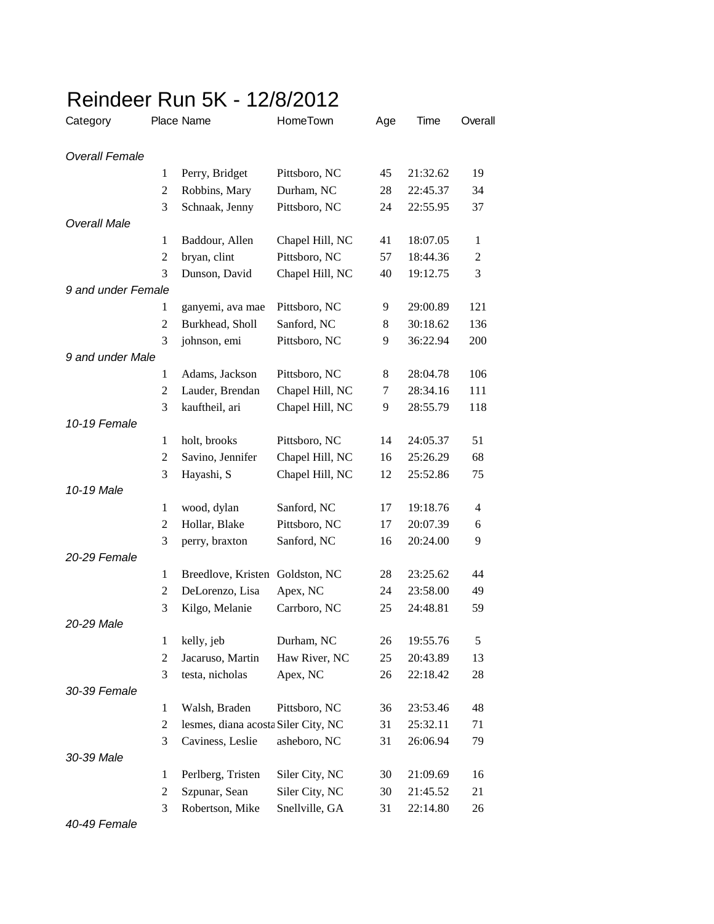## Reindeer Run 5K - 12/8/2012

| Category              |                | Place Name                          | HomeTown        | Age | Time     | Overall        |
|-----------------------|----------------|-------------------------------------|-----------------|-----|----------|----------------|
| <b>Overall Female</b> |                |                                     |                 |     |          |                |
|                       | 1              | Perry, Bridget                      | Pittsboro, NC   | 45  | 21:32.62 | 19             |
|                       | 2              | Robbins, Mary                       | Durham, NC      | 28  | 22:45.37 | 34             |
|                       | 3              | Schnaak, Jenny                      | Pittsboro, NC   | 24  | 22:55.95 | 37             |
| Overall Male          |                |                                     |                 |     |          |                |
|                       | $\mathbf{1}$   | Baddour, Allen                      | Chapel Hill, NC | 41  | 18:07.05 | 1              |
|                       | $\overline{2}$ | bryan, clint                        | Pittsboro, NC   | 57  | 18:44.36 | $\overline{c}$ |
|                       | 3              | Dunson, David                       | Chapel Hill, NC | 40  | 19:12.75 | 3              |
| 9 and under Female    |                |                                     |                 |     |          |                |
|                       | 1              | ganyemi, ava mae                    | Pittsboro, NC   | 9   | 29:00.89 | 121            |
|                       | 2              | Burkhead, Sholl                     | Sanford, NC     | 8   | 30:18.62 | 136            |
|                       | 3              | johnson, emi                        | Pittsboro, NC   | 9   | 36:22.94 | 200            |
| 9 and under Male      |                |                                     |                 |     |          |                |
|                       | 1              | Adams, Jackson                      | Pittsboro, NC   | 8   | 28:04.78 | 106            |
|                       | $\overline{c}$ | Lauder, Brendan                     | Chapel Hill, NC | 7   | 28:34.16 | 111            |
|                       | 3              | kauftheil, ari                      | Chapel Hill, NC | 9   | 28:55.79 | 118            |
| 10-19 Female          |                |                                     |                 |     |          |                |
|                       | $\mathbf{1}$   | holt, brooks                        | Pittsboro, NC   | 14  | 24:05.37 | 51             |
|                       | 2              | Savino, Jennifer                    | Chapel Hill, NC | 16  | 25:26.29 | 68             |
|                       | 3              | Hayashi, S                          | Chapel Hill, NC | 12  | 25:52.86 | 75             |
| 10-19 Male            |                |                                     |                 |     |          |                |
|                       | $\mathbf{1}$   | wood, dylan                         | Sanford, NC     | 17  | 19:18.76 | 4              |
|                       | $\overline{c}$ | Hollar, Blake                       | Pittsboro, NC   | 17  | 20:07.39 | 6              |
|                       | 3              | perry, braxton                      | Sanford, NC     | 16  | 20:24.00 | 9              |
| 20-29 Female          |                |                                     |                 |     |          |                |
|                       | $\mathbf{1}$   | Breedlove, Kristen                  | Goldston, NC    | 28  | 23:25.62 | 44             |
|                       | 2              | DeLorenzo, Lisa                     | Apex, NC        | 24  | 23:58.00 | 49             |
|                       | 3              | Kilgo, Melanie                      | Carrboro, NC    | 25  | 24:48.81 | 59             |
| 20-29 Male            |                |                                     |                 |     |          |                |
|                       | $\mathbf{1}$   | kelly, jeb                          | Durham, NC      | 26  | 19:55.76 | 5              |
|                       | $\overline{c}$ | Jacaruso, Martin                    | Haw River, NC   | 25  | 20:43.89 | 13             |
|                       | 3              | testa, nicholas                     | Apex, NC        | 26  | 22:18.42 | 28             |
| 30-39 Female          |                |                                     |                 |     |          |                |
|                       | $\mathbf{1}$   | Walsh, Braden                       | Pittsboro, NC   | 36  | 23:53.46 | 48             |
|                       | $\overline{c}$ | lesmes, diana acosta Siler City, NC |                 | 31  | 25:32.11 | 71             |
|                       | 3              | Caviness, Leslie                    | asheboro, NC    | 31  | 26:06.94 | 79             |
| 30-39 Male            |                |                                     |                 |     |          |                |
|                       | 1              | Perlberg, Tristen                   | Siler City, NC  | 30  | 21:09.69 | 16             |
|                       | 2              | Szpunar, Sean                       | Siler City, NC  | 30  | 21:45.52 | 21             |
|                       | 3              | Robertson, Mike                     | Snellville, GA  | 31  | 22:14.80 | 26             |

*40-49 Female*